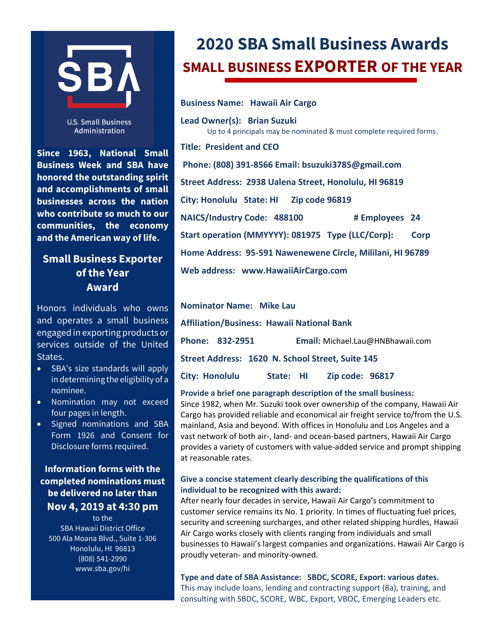

**U.S. Small Business** Administration

**Since 1963, National Small Business Week and SBA have honored the outstanding spirit and accomplishments of small businesses across the nation who contribute so much to our communities, the economy and the American way of life.**

## **Small Business Exporter of the Year Award**

Honors individuals who owns and operates a small business engaged in exporting products or services outside of the United States.

- SBA's size standards will apply in determining the eligibility of a nominee.
- Nomination may not exceed four pages in length.
- Signed nominations and SBA Form 1926 and Consent for Disclosure forms required.

### **Information forms with the completed nominations must be delivered no later than Nov 4, 2019 at 4:30 pm**

to the SBA Hawaii District Office 500 Ala Moana Blvd., Suite 1-306 Honolulu, HI 96813 (808) 541-2990 www.sba.gov/hi

# **2020 SBA Small Business Awards SMALL BUSINESS EXPORTER OF THE YEAR**

**Business Name: Hawaii Air Cargo**

**Lead Owner(s): Brian Suzuki** Up to 4 principals may be nominated & must complete required forms. **Title: President and CEO Phone: (808) 391-8566 Email: bsuzuki3785@gmail.com**

**Street Address: 2938 Ualena Street, Honolulu, HI 96819**

**City: Honolulu State: HI Zip code 96819**

**NAICS/Industry Code: 488100 # Employees 24**

**Start operation (MMYYYY): 081975 Type (LLC/Corp): Corp**

**Home Address: 95-591 Nawenewene Circle, Mililani, HI 96789** 

**Web address: www.HawaiiAirCargo.com**

**Nominator Name: Mike Lau Affiliation/Business: Hawaii National Bank Phone: 832-2951 Email:** [Michael.Lau@HNBhawaii.com](mailto:Michael.Lau@HNBhawaii.com) **Street Address: 1620 N. School Street, Suite 145 City: Honolulu State: HI Zip code: 96817**

#### **Provide a brief one paragraph description of the small business:**

Since 1982, when Mr. Suzuki took over ownership of the company, Hawaii Air Cargo has provided reliable and economical air freight service to/from the U.S. mainland, Asia and beyond. With offices in Honolulu and Los Angeles and a vast network of both air-, land- and ocean-based partners, Hawaii Air Cargo provides a variety of customers with value-added service and prompt shipping at reasonable rates.

#### **Give a concise statement clearly describing the qualifications of this individual to be recognized with this award:**

After nearly four decades in service, Hawaii Air Cargo's commitment to customer service remains its No. 1 priority. In times of fluctuating fuel prices, security and screening surcharges, and other related shipping hurdles, Hawaii Air Cargo works closely with clients ranging from individuals and small businesses to Hawaii's largest companies and organizations. Hawaii Air Cargo is proudly veteran- and minority-owned.

**Type and date of SBA Assistance: SBDC, SCORE, Export: various dates.**  This may include loans, lending and contracting support (8a), training, and consulting with SBDC, SCORE, WBC, Export, VBOC, Emerging Leaders etc.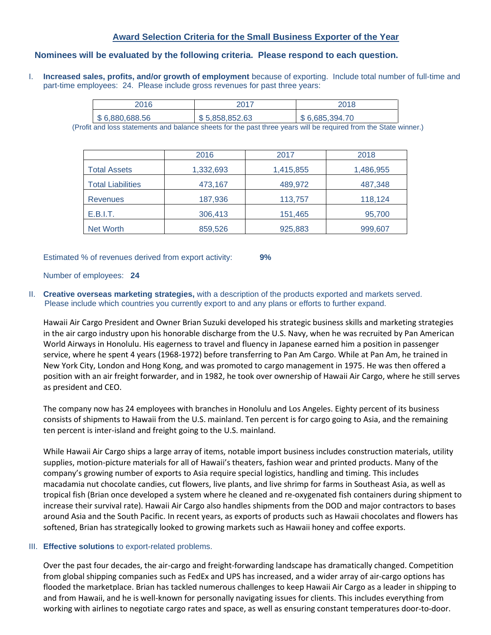#### **Award Selection Criteria for the Small Business Exporter of the Year**

#### **Nominees will be evaluated by the following criteria. Please respond to each question.**

I. **Increased sales, profits, and/or growth of employment** because of exporting. Include total number of full-time and part-time employees: 24. Please include gross revenues for past three years:

| 2016           | 2017           | 2018           |
|----------------|----------------|----------------|
| \$6,880,688.56 | \$5,858,852.63 | \$6,685,394.70 |

(Profit and loss statements and balance sheets for the past three years will be required from the State winner.)

|                          | 2016      | 2017      | 2018      |
|--------------------------|-----------|-----------|-----------|
| <b>Total Assets</b>      | 1,332,693 | 1,415,855 | 1,486,955 |
| <b>Total Liabilities</b> | 473,167   | 489,972   | 487,348   |
| <b>Revenues</b>          | 187,936   | 113,757   | 118,124   |
| E.B.I.T.                 | 306,413   | 151,465   | 95,700    |
| Net Worth                | 859,526   | 925,883   | 999,607   |

Estimated % of revenues derived from export activity: **9%**

Number of employees: **24**

II. **Creative overseas marketing strategies,** with a description of the products exported and markets served. Please include which countries you currently export to and any plans or efforts to further expand.

Hawaii Air Cargo President and Owner Brian Suzuki developed his strategic business skills and marketing strategies in the air cargo industry upon his honorable discharge from the U.S. Navy, when he was recruited by Pan American World Airways in Honolulu. His eagerness to travel and fluency in Japanese earned him a position in passenger service, where he spent 4 years (1968-1972) before transferring to Pan Am Cargo. While at Pan Am, he trained in New York City, London and Hong Kong, and was promoted to cargo management in 1975. He was then offered a position with an air freight forwarder, and in 1982, he took over ownership of Hawaii Air Cargo, where he still serves as president and CEO.

The company now has 24 employees with branches in Honolulu and Los Angeles. Eighty percent of its business consists of shipments to Hawaii from the U.S. mainland. Ten percent is for cargo going to Asia, and the remaining ten percent is inter-island and freight going to the U.S. mainland.

While Hawaii Air Cargo ships a large array of items, notable import business includes construction materials, utility supplies, motion-picture materials for all of Hawaii's theaters, fashion wear and printed products. Many of the company's growing number of exports to Asia require special logistics, handling and timing. This includes macadamia nut chocolate candies, cut flowers, live plants, and live shrimp for farms in Southeast Asia, as well as tropical fish (Brian once developed a system where he cleaned and re-oxygenated fish containers during shipment to increase their survival rate). Hawaii Air Cargo also handles shipments from the DOD and major contractors to bases around Asia and the South Pacific. In recent years, as exports of products such as Hawaii chocolates and flowers has softened, Brian has strategically looked to growing markets such as Hawaii honey and coffee exports.

#### III. **Effective solutions** to export-related problems.

Over the past four decades, the air-cargo and freight-forwarding landscape has dramatically changed. Competition from global shipping companies such as FedEx and UPS has increased, and a wider array of air-cargo options has flooded the marketplace. Brian has tackled numerous challenges to keep Hawaii Air Cargo as a leader in shipping to and from Hawaii, and he is well-known for personally navigating issues for clients. This includes everything from working with airlines to negotiate cargo rates and space, as well as ensuring constant temperatures door-to-door.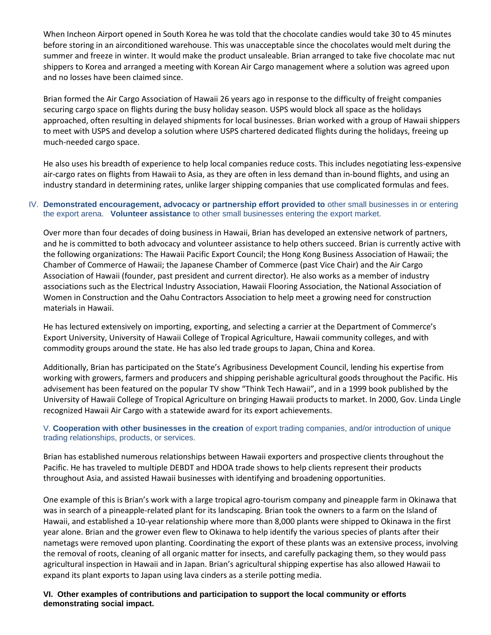When Incheon Airport opened in South Korea he was told that the chocolate candies would take 30 to 45 minutes before storing in an airconditioned warehouse. This was unacceptable since the chocolates would melt during the summer and freeze in winter. It would make the product unsaleable. Brian arranged to take five chocolate mac nut shippers to Korea and arranged a meeting with Korean Air Cargo management where a solution was agreed upon and no losses have been claimed since.

Brian formed the Air Cargo Association of Hawaii 26 years ago in response to the difficulty of freight companies securing cargo space on flights during the busy holiday season. USPS would block all space as the holidays approached, often resulting in delayed shipments for local businesses. Brian worked with a group of Hawaii shippers to meet with USPS and develop a solution where USPS chartered dedicated flights during the holidays, freeing up much-needed cargo space.

He also uses his breadth of experience to help local companies reduce costs. This includes negotiating less-expensive air-cargo rates on flights from Hawaii to Asia, as they are often in less demand than in-bound flights, and using an industry standard in determining rates, unlike larger shipping companies that use complicated formulas and fees.

#### IV. **Demonstrated encouragement, advocacy or partnership effort provided to** other small businesses in or entering the export arena. **Volunteer assistance** to other small businesses entering the export market.

Over more than four decades of doing business in Hawaii, Brian has developed an extensive network of partners, and he is committed to both advocacy and volunteer assistance to help others succeed. Brian is currently active with the following organizations: The Hawaii Pacific Export Council; the Hong Kong Business Association of Hawaii; the Chamber of Commerce of Hawaii; the Japanese Chamber of Commerce (past Vice Chair) and the Air Cargo Association of Hawaii (founder, past president and current director). He also works as a member of industry associations such as the Electrical Industry Association, Hawaii Flooring Association, the National Association of Women in Construction and the Oahu Contractors Association to help meet a growing need for construction materials in Hawaii.

He has lectured extensively on importing, exporting, and selecting a carrier at the Department of Commerce's Export University, University of Hawaii College of Tropical Agriculture, Hawaii community colleges, and with commodity groups around the state. He has also led trade groups to Japan, China and Korea.

Additionally, Brian has participated on the State's Agribusiness Development Council, lending his expertise from working with growers, farmers and producers and shipping perishable agricultural goods throughout the Pacific. His advisement has been featured on the popular TV show "Think Tech Hawaii", and in a 1999 book published by the University of Hawaii College of Tropical Agriculture on bringing Hawaii products to market. In 2000, Gov. Linda Lingle recognized Hawaii Air Cargo with a statewide award for its export achievements.

#### V. **Cooperation with other businesses in the creation** of export trading companies, and/or introduction of unique trading relationships, products, or services.

Brian has established numerous relationships between Hawaii exporters and prospective clients throughout the Pacific. He has traveled to multiple DEBDT and HDOA trade shows to help clients represent their products throughout Asia, and assisted Hawaii businesses with identifying and broadening opportunities.

One example of this is Brian's work with a large tropical agro-tourism company and pineapple farm in Okinawa that was in search of a pineapple-related plant for its landscaping. Brian took the owners to a farm on the Island of Hawaii, and established a 10-year relationship where more than 8,000 plants were shipped to Okinawa in the first year alone. Brian and the grower even flew to Okinawa to help identify the various species of plants after their nametags were removed upon planting. Coordinating the export of these plants was an extensive process, involving the removal of roots, cleaning of all organic matter for insects, and carefully packaging them, so they would pass agricultural inspection in Hawaii and in Japan. Brian's agricultural shipping expertise has also allowed Hawaii to expand its plant exports to Japan using lava cinders as a sterile potting media.

**VI. Other examples of contributions and participation to support the local community or efforts demonstrating social impact.**